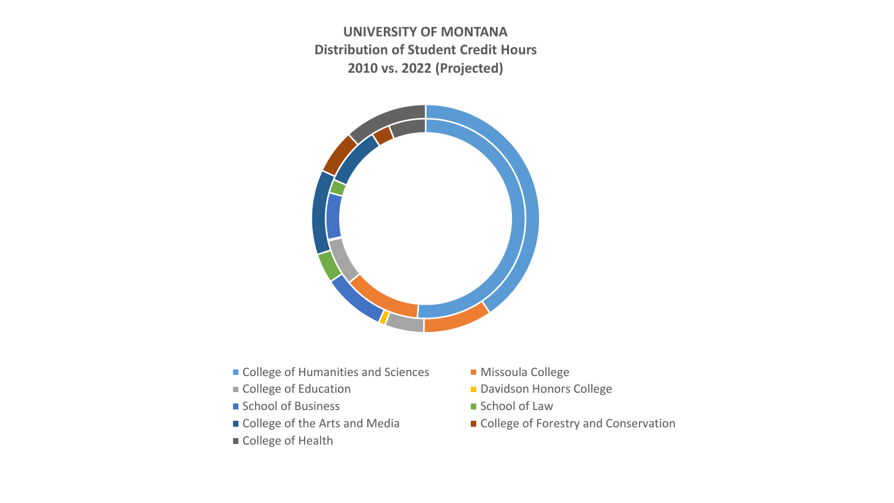**UNIVERSITY OF MONTANA Distribution of Student Credit Hours 2010 vs. 2022 (Projected)**



- College of Humanities and Sciences Missoula College
- 
- School of Business School of Law
- 
- College of Health
- 
- College of Education Davidson Honors College
	-
- College of the Arts and Media College of Forestry and Conservation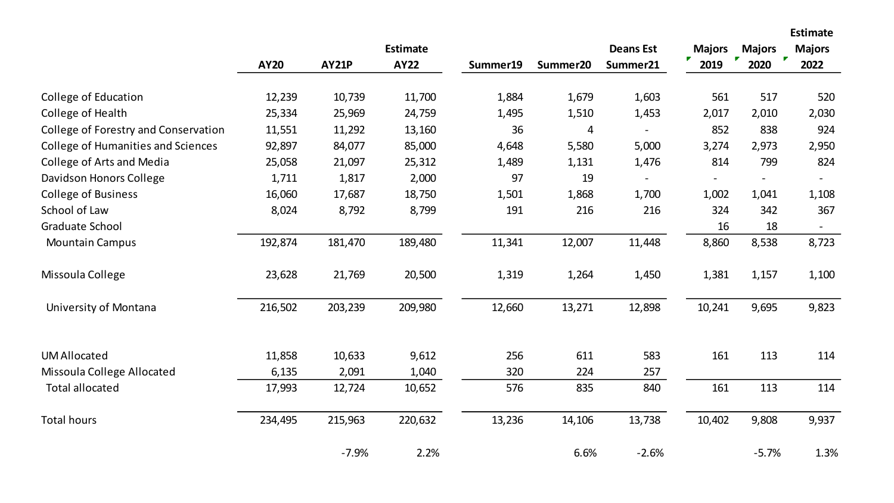**Estimate Deans Est Majors Majors Majors AY20 AY21P AY22 Summer19 Summer20 Summer21 2019 2020 2022** College of Education 12,239 10,739 11,700 1,884 1,679 1,603 561 517 520 College of Health 25,334 25,969 24,759 1,495 1,510 1,453 2,017 2,010 2,030 College of Forestry and Conservation 11,551 11,292 13,160 36 4 - 852 838 924 College of Humanities and Sciences 92,897 84,077 85,000 4,648 5,580 5,000 3,274 2,973 2,950 College of Arts and Media 25,058 21,097 25,312 1,489 1,131 1,476 814 799 824 Davidson Honors College 1,711 1,817 2,000 97 19 - - - - College of Business **16,060** 17,687 18,750 1,501 1,868 1,700 1,002 1,041 1,108 School of Law 8,024 8,792 8,799 191 216 216 324 342 367 Graduate School 18 and 18 and 18 and 18 and 18 and 18 and 18 and 18 and 18 and 18 and 18 and 18 and 18 and 18 and 18 and 18 and 18 and 18 and 18 and 18 and 18 and 18 and 18 and 18 and 18 and 18 and 19 and 19 and 19 and 19 Mountain Campus 192,874 181,470 189,480 11,341 12,007 11,448 8,860 8,538 8,723 Missoula College 23,628 21,769 20,500 1,319 1,264 1,450 1,381 1,157 1,100 University of Montana 216,502 203,239 209,980 12,660 13,271 12,898 10,241 9,695 9,823 UM Allocated 11,858 10,633 9,612 256 611 583 161 113 114 Missoula College Allocated 6,135 2,091 1,040 320 224 257 Total allocated 17,993 12,724 10,652 576 835 840 161 113 114 Total hours 234,495 215,963 220,632 13,236 14,106 13,738 10,402 9,808 9,937 -7.9% 2.2% 6.6% -2.6% -5.7% 1.3%

**Estimate**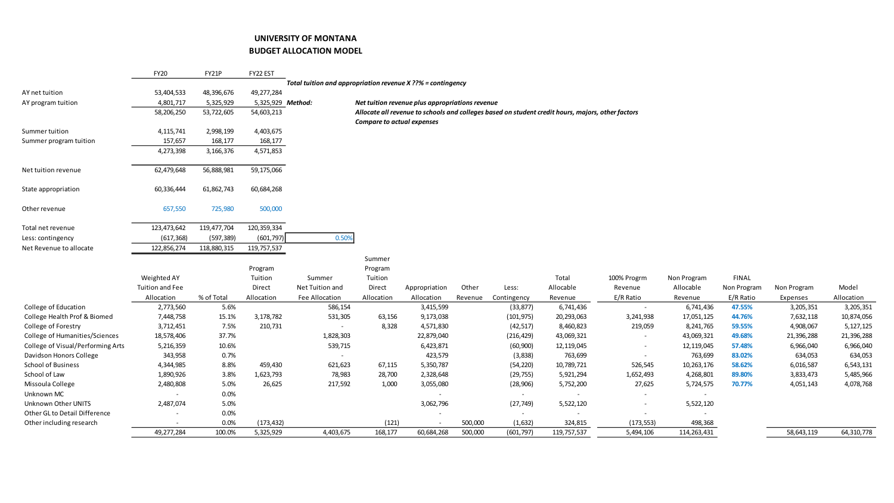## **UNIVERSITY OF MONTANA**

## **BUDGET ALLOCATION MODEL**

|                                   | <b>FY20</b>              | FY21P       | FY22 EST          |                                                             |                                   |                                                 |         |             |                                                                                                   |                          |             |              |             |            |
|-----------------------------------|--------------------------|-------------|-------------------|-------------------------------------------------------------|-----------------------------------|-------------------------------------------------|---------|-------------|---------------------------------------------------------------------------------------------------|--------------------------|-------------|--------------|-------------|------------|
|                                   |                          |             |                   | Total tuition and appropriation revenue X ??% = contingency |                                   |                                                 |         |             |                                                                                                   |                          |             |              |             |            |
| AY net tuition                    | 53,404,533               | 48,396,676  | 49,277,284        |                                                             |                                   |                                                 |         |             |                                                                                                   |                          |             |              |             |            |
| AY program tuition                | 4,801,717                | 5,325,929   | 5,325,929 Method: |                                                             |                                   | Net tuition revenue plus appropriations revenue |         |             |                                                                                                   |                          |             |              |             |            |
|                                   | 58,206,250               | 53,722,605  | 54,603,213        |                                                             |                                   |                                                 |         |             | Allocate all revenue to schools and colleges based on student credit hours, majors, other factors |                          |             |              |             |            |
|                                   |                          |             |                   |                                                             | <b>Compare to actual expenses</b> |                                                 |         |             |                                                                                                   |                          |             |              |             |            |
| Summer tuition                    | 4,115,741                | 2,998,199   | 4,403,675         |                                                             |                                   |                                                 |         |             |                                                                                                   |                          |             |              |             |            |
| Summer program tuition            | 157,657                  | 168,177     | 168,177           |                                                             |                                   |                                                 |         |             |                                                                                                   |                          |             |              |             |            |
|                                   | 4,273,398                | 3,166,376   | 4,571,853         |                                                             |                                   |                                                 |         |             |                                                                                                   |                          |             |              |             |            |
| Net tuition revenue               | 62,479,648               | 56,888,981  | 59,175,066        |                                                             |                                   |                                                 |         |             |                                                                                                   |                          |             |              |             |            |
| State appropriation               | 60,336,444               | 61,862,743  | 60,684,268        |                                                             |                                   |                                                 |         |             |                                                                                                   |                          |             |              |             |            |
| Other revenue                     | 657,550                  | 725,980     | 500,000           |                                                             |                                   |                                                 |         |             |                                                                                                   |                          |             |              |             |            |
| Total net revenue                 | 123,473,642              | 119,477,704 | 120,359,334       |                                                             |                                   |                                                 |         |             |                                                                                                   |                          |             |              |             |            |
| Less: contingency                 | (617, 368)               | (597, 389)  | (601, 797)        | 0.50%                                                       |                                   |                                                 |         |             |                                                                                                   |                          |             |              |             |            |
| Net Revenue to allocate           | 122,856,274              | 118,880,315 | 119,757,537       |                                                             |                                   |                                                 |         |             |                                                                                                   |                          |             |              |             |            |
|                                   |                          |             |                   |                                                             | Summer                            |                                                 |         |             |                                                                                                   |                          |             |              |             |            |
|                                   |                          |             | Program           |                                                             | Program                           |                                                 |         |             |                                                                                                   |                          |             |              |             |            |
|                                   | Weighted AY              |             | Tuition           | Summer                                                      | Tuition                           |                                                 |         |             | Total                                                                                             | 100% Progrm              | Non Program | <b>FINAL</b> |             |            |
|                                   | Tuition and Fee          |             | Direct            | Net Tuition and                                             | Direct                            | Appropriation                                   | Other   | Less:       | Allocable                                                                                         | Revenue                  | Allocable   | Non Program  | Non Program | Model      |
|                                   | Allocation               | % of Total  | Allocation        | Fee Allocation                                              | Allocation                        | Allocation                                      | Revenue | Contingency | Revenue                                                                                           | E/R Ratio                | Revenue     | E/R Ratio    | Expenses    | Allocation |
| College of Education              | 2,773,560                | 5.6%        |                   | 586,154                                                     |                                   | 3,415,599                                       |         | (33, 877)   | 6,741,436                                                                                         | $\sim$                   | 6,741,436   | 47.55%       | 3,205,351   | 3,205,351  |
| College Health Prof & Biomed      | 7,448,758                | 15.1%       | 3,178,782         | 531,305                                                     | 63,156                            | 9,173,038                                       |         | (101, 975)  | 20,293,063                                                                                        | 3,241,938                | 17,051,125  | 44.76%       | 7,632,118   | 10,874,056 |
| College of Forestry               | 3,712,451                | 7.5%        | 210,731           |                                                             | 8,328                             | 4,571,830                                       |         | (42, 517)   | 8,460,823                                                                                         | 219,059                  | 8,241,765   | 59.55%       | 4,908,067   | 5,127,125  |
| College of Humanities/Sciences    | 18,578,406               | 37.7%       |                   | 1,828,303                                                   |                                   | 22,879,040                                      |         | (216, 429)  | 43,069,321                                                                                        |                          | 43,069,321  | 49.68%       | 21,396,288  | 21,396,288 |
| College of Visual/Performing Arts | 5,216,359                | 10.6%       |                   | 539,715                                                     |                                   | 6,423,871                                       |         | (60, 900)   | 12,119,045                                                                                        |                          | 12,119,045  | 57.48%       | 6,966,040   | 6,966,040  |
| Davidson Honors College           | 343,958                  | 0.7%        |                   |                                                             |                                   | 423,579                                         |         | (3,838)     | 763,699                                                                                           |                          | 763,699     | 83.02%       | 634,053     | 634,053    |
| School of Business                | 4,344,985                | 8.8%        | 459,430           | 621,623                                                     | 67,115                            | 5,350,787                                       |         | (54, 220)   | 10,789,721                                                                                        | 526,545                  | 10,263,176  | 58.62%       | 6,016,587   | 6,543,131  |
| School of Law                     | 1,890,926                | 3.8%        | 1,623,793         | 78,983                                                      | 28,700                            | 2,328,648                                       |         | (29, 755)   | 5,921,294                                                                                         | 1,652,493                | 4,268,801   | 89.80%       | 3,833,473   | 5,485,966  |
| Missoula College                  | 2,480,808                | 5.0%        | 26,625            | 217,592                                                     | 1,000                             | 3,055,080                                       |         | (28, 906)   | 5,752,200                                                                                         | 27,625                   | 5,724,575   | 70.77%       | 4,051,143   | 4,078,768  |
| Unknown MC                        | $\overline{\phantom{a}}$ | 0.0%        |                   |                                                             |                                   |                                                 |         | $\sim$      | $\overline{\phantom{a}}$                                                                          |                          | $\sim$      |              |             |            |
| <b>Unknown Other UNITS</b>        | 2,487,074                | 5.0%        |                   |                                                             |                                   | 3,062,796                                       |         | (27, 749)   | 5,522,120                                                                                         | $\overline{\phantom{a}}$ | 5,522,120   |              |             |            |
| Other GL to Detail Difference     |                          | 0.0%        |                   |                                                             |                                   |                                                 |         | $\sim$      | $\overline{\phantom{a}}$                                                                          | $\sim$                   | $\sim$      |              |             |            |
| Other including research          |                          | 0.0%        | (173, 432)        |                                                             | (121)                             |                                                 | 500,000 | (1,632)     | 324,815                                                                                           | (173, 553)               | 498,368     |              |             |            |
|                                   | 49,277,284               | 100.0%      | 5,325,929         | 4,403,675                                                   | 168,177                           | 60,684,268                                      | 500,000 | (601, 797)  | 119,757,537                                                                                       | 5,494,106                | 114,263,431 |              | 58,643,119  | 64,310,778 |